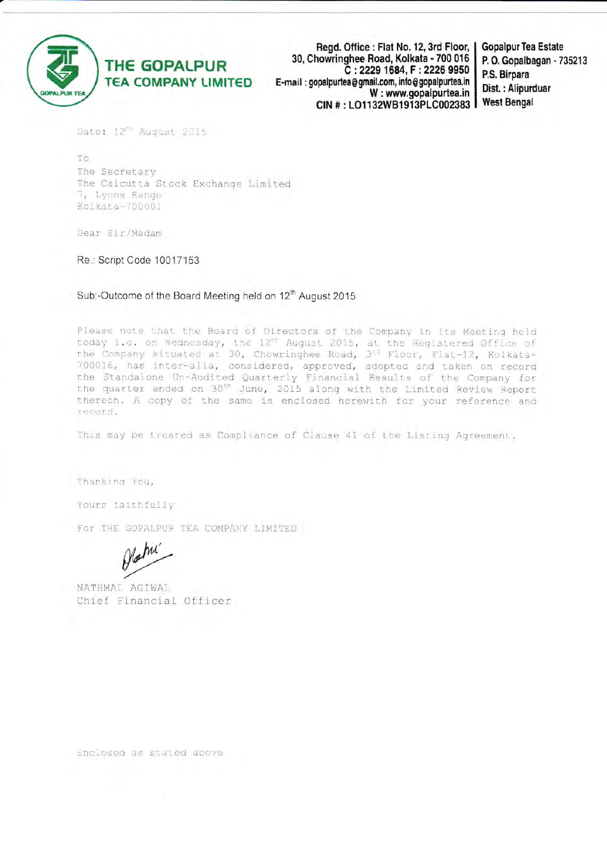

Regd. Office: Flat No. 12, 3rd Floor, 30, Chowringhee Road, Kolkata - 700 016 C: 2229 1684, F: 2226 9950 E-mail: gopalpurtea@gmail.com, info@gopalpurtea.in W: www.gopalpurtea.in CIN #: LO1132WB1913PLC002383

**Gopalpur Tea Estate** P. O. Gopalbagan - 735213 P.S. Birpara Dist.: Alipurduar **West Bengal** 

Date: 12<sup>th</sup> August 2015

TO The Secretary The Calcutta Stock Exchange Limited 7, Lyons Range Kolkata-700001

Dear Sir/Madam

Re.: Script Code 10017153

Sub:-Outcome of the Board Meeting held on 12<sup>th</sup> August 2015

Please note that the Board of Directors of the Company in its Meeting held today i.e. on Wednesday, the 12<sup>th</sup> August 2015, at the Registered Office of<br>the Company situated at 30, Chowringhee Road, 3<sup>td</sup> Floor, Flat-12, Kolkata-700016, has inter-alia, considered, approved, adopted and taken on record the Standalone Un-Audited Quarterly Financial Results of the Company for<br>the quarter ended on 30<sup>th</sup> June, 2015 along with the Limited Review Report thereon. A copy of the same is enclosed herewith for your reference and record.

This may be treated as Compliance of Clause 41 of the Listing Agreement.

Thanking You,

Yours faithfully

For THE GOPALPUR TEA COMPANY LIMITED

NATHMAL AGIWAL Chief Financial Officer

Enclosed as stated apove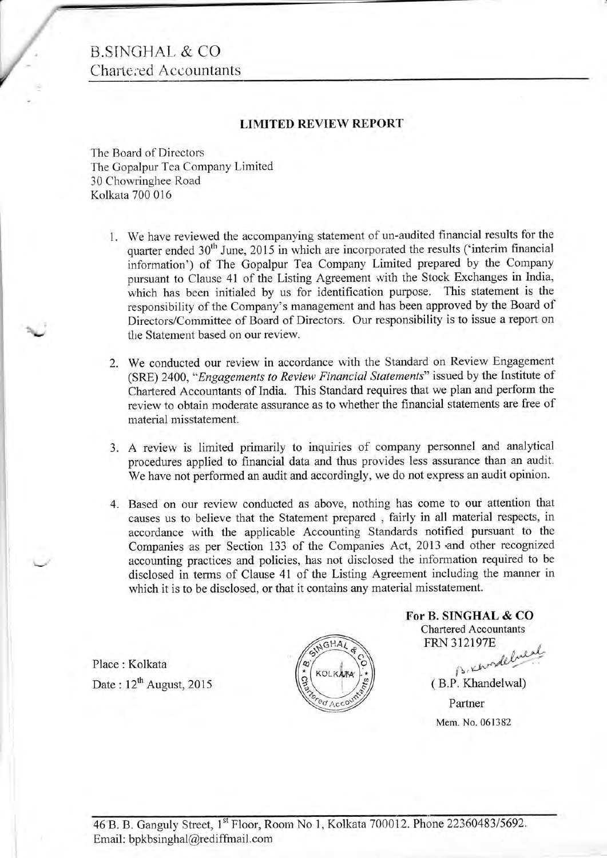#### B.SINGHAL & CO. Chartered Accountants

f,

L

 $\overline{\phantom{a}}$ 

#### LIMITED REVIEW REPORT

The Board of Directors The Gopalpur Tea Company Limited 30 Chowringhee Road Kolkata 700 016

- l. We have reviewed the accompanying statement of un-audited financial results for the quarter ended 30<sup>th</sup> June, 2015 in which are incorporated the results ('interim financial information') of The Gopalpur Tea Company Limited prepared by the Company pursuant to Clause 41 of the Listing Agreement with the Stock Exchanges in India, which has been initialed by us for identification purpose. This statement is the responsibility of the Company's management and has been approved by the Board of Directors/Committee of Board of Directors. Our responsibility is to issue a report on the Statement based on our review.
- We conducted our review in accordance with the Standard on Review Engagement 2. (SRE) 2400, "Engagements to Review Financial Statements" issued by the Institute of Chartered Accountants of India. This Standard requires that we plan and perform the review to obtain moderate assurance as to whether the financial statements are free of material misstatement.
- 3. A review is limited primarily to inquiries of company personnel and analytical procedures applied to financial data and thus provides less assurance than an audit. We have not performed an audit and accordingly, we do not express an audit opinion.
- Based on our review conducted as above, nothing has come to our attention that 4. causes us to believe that the Statement prepared , fairly in all material respects, in accordance with the applicable Accounting Standards notified pursuant to the Companies as per Section 133 of the Companies Act, 2013 'and other recognized accounting practices and policies, has not disclosed the information required to be disclosed in terms of Clause 41 of the Listing Agreement including the manner in which it is to be disclosed, or that it contains any material misstatement.

Place : Kolkata Date:  $12^{th}$  August, 2015



For B. SINGHAL & CO Chartered Accountants **FRN 312197E** a fuest

 $\beta$ , chose ( B.P, Khandelwal) Partner Mem. No. 061382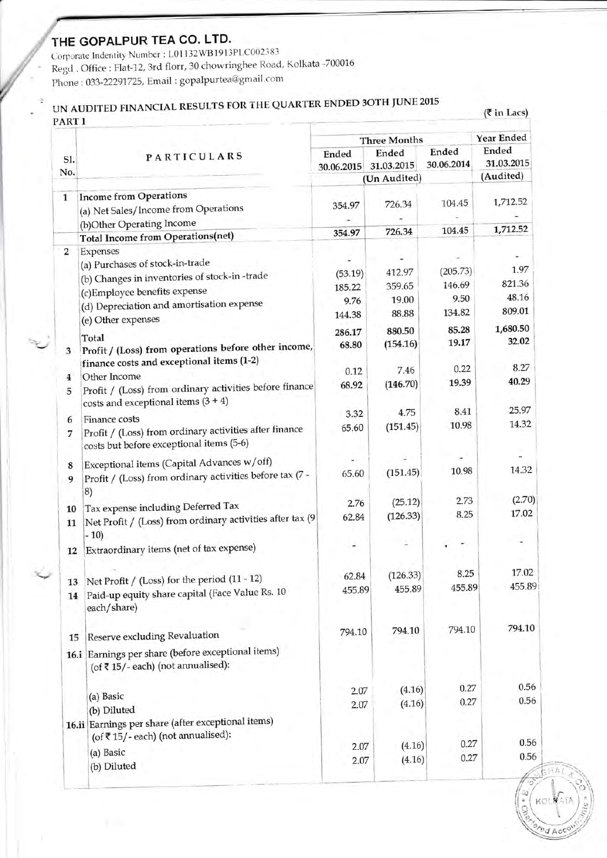### THE GOPALPUR TEA CO. LTD.

Corporate Indentity Number : L01132WB1913PLC002383 Regd. Office: Flat-12, 3rd florr, 30 chowringhee Road, Kolkata -700016 Phone: 033-22291725, Email: gopalpurtea@gmail.com

# UN AUDITED FINANCIAL RESULTS FOR THE QUARTER ENDED 3OTH JUNE 2015<br>PART I

 $(3 \infty)$ 

| Sl.              | PARTICULARS                                                                                        | <b>Three Months</b> |                     |                     | Year Ended          |  |
|------------------|----------------------------------------------------------------------------------------------------|---------------------|---------------------|---------------------|---------------------|--|
|                  |                                                                                                    | Ended<br>30.06.2015 | Ended<br>31.03.2015 | Ended<br>30.06.2014 | Ended<br>31.03.2015 |  |
| No.              |                                                                                                    |                     | (Un Audited)        |                     | (Audited)           |  |
| 1                | <b>Income from Operations</b>                                                                      |                     |                     |                     |                     |  |
|                  | (a) Net Sales/Income from Operations                                                               | 354.97              | 726.34              | 104.45              | 1,712.52            |  |
|                  | (b)Other Operating Income                                                                          |                     |                     |                     |                     |  |
|                  | <b>Total Income from Operations(net)</b>                                                           | 354.97              | 726.34              | 104.45              | 1,712.52            |  |
| $\boldsymbol{2}$ | Expenses                                                                                           |                     |                     |                     |                     |  |
|                  | (a) Purchases of stock-in-trade                                                                    |                     | 412.97              | (205.73)            | 1.97                |  |
|                  | (b) Changes in inventories of stock-in-trade                                                       | (53.19)             | 359.65              | 146.69              | 821.36              |  |
|                  | (c) Employee benefits expense                                                                      | 185.22              | 19.00               | 9.50                | 48.16               |  |
|                  | (d) Depreciation and amortisation expense                                                          | 9.76<br>144.38      | 88.88               | 134.82              | 809.01              |  |
|                  | (e) Other expenses                                                                                 |                     |                     |                     | 1,680.50            |  |
|                  | Total                                                                                              | 286.17              | 880.50              | 85.28               | 32.02               |  |
| 3                | Profit / (Loss) from operations before other income,<br>finance costs and exceptional items (1-2)  | 68.80               | (154.16)            | 19.17               |                     |  |
|                  | Other Income                                                                                       | 0.12                | 7.46                | 0.22                | 8.27                |  |
| 4<br>5           | Profit / (Loss) from ordinary activities before finance<br>costs and exceptional items $(3 + 4)$   | 68.92               | (146.70)            | 19.39               | 40.29               |  |
|                  | Finance costs                                                                                      | 3.32                | 4.75                | 8.41                | 25.97               |  |
| 6<br>7           | Profit / (Loss) from ordinary activities after finance<br>costs but before exceptional items (5-6) | 65.60               | (151.45)            | 10.98               | 14.32               |  |
|                  | Exceptional items (Capital Advances w/off)                                                         |                     |                     |                     |                     |  |
| 8<br>9           | Profit / (Loss) from ordinary activities before tax (7 -<br>8)                                     | 65.60               | (151.45)            | 10.98               | 14.32               |  |
|                  | Tax expense including Deferred Tax                                                                 | 2.76                | (25.12)             | 2.73                | (2.70)              |  |
| 10<br>11         | Net Profit / (Loss) from ordinary activities after tax (9<br>$-10)$                                | 62.84               | (126.33)            | 8.25                | 17.02               |  |
| 12               | Extraordinary items (net of tax expense)                                                           |                     |                     |                     |                     |  |
|                  |                                                                                                    | 62.84               | (126.33)            | 8.25                | 17.02               |  |
| 13               | Net Profit / (Loss) for the period (11 - 12)                                                       | 455.89              | 455.89              | 455.89              | 455.89              |  |
| 14               | Paid-up equity share capital (Face Value Rs. 10<br>each/share)                                     |                     |                     |                     |                     |  |
| 15               | Reserve excluding Revaluation                                                                      | 794.10              | 794.10              | 794.10              | 794.10              |  |
|                  | 16.i Earnings per share (before exceptional items)<br>(of ₹15/-each) (not annualised):             |                     |                     |                     |                     |  |
|                  |                                                                                                    | 2.07                | (4.16)              | 0.27                | 0.56                |  |
|                  | (a) Basic                                                                                          | 2.07                | (4.16)              | 0.27                | 0.56                |  |
|                  | (b) Diluted<br>16.ii Earnings per share (after exceptional items)                                  |                     |                     |                     |                     |  |
|                  | (of ₹15/-each) (not annualised):                                                                   | 2.07                | (4.16)              | 0.27                | 0.56                |  |
|                  | (a) Basic                                                                                          | 2.07                | (4.16)              | 0.27                | 0.56                |  |
|                  | (b) Diluted                                                                                        |                     |                     |                     |                     |  |

ed Acco